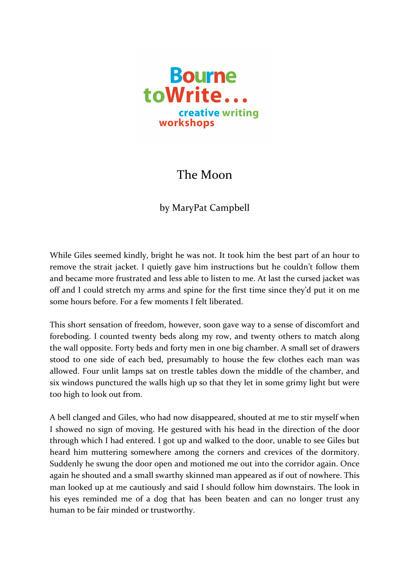

## The Moon

by MaryPat Campbell

While Giles seemed kindly, bright he was not. It took him the best part of an hour to remove the strait jacket. I quietly gave him instructions but he couldn't follow them and became more frustrated and less able to listen to me. At last the cursed jacket was off and I could stretch my arms and spine for the first time since they'd put it on me some hours before. For a few moments I felt liberated.

This short sensation of freedom, however, soon gave way to a sense of discomfort and foreboding. I counted twenty beds along my row, and twenty others to match along the wall opposite. Forty beds and forty men in one big chamber. A small set of drawers stood to one side of each bed, presumably to house the few clothes each man was allowed. Four unlit lamps sat on trestle tables down the middle of the chamber, and six windows punctured the walls high up so that they let in some grimy light but were too high to look out from.

A bell clanged and Giles, who had now disappeared, shouted at me to stir myself when I showed no sign of moving. He gestured with his head in the direction of the door through which I had entered. I got up and walked to the door, unable to see Giles but heard him muttering somewhere among the corners and crevices of the dormitory. Suddenly he swung the door open and motioned me out into the corridor again. Once again he shouted and a small swarthy skinned man appeared as if out of nowhere. This man looked up at me cautiously and said I should follow him downstairs. The look in his eyes reminded me of a dog that has been beaten and can no longer trust any human to be fair minded or trustworthy.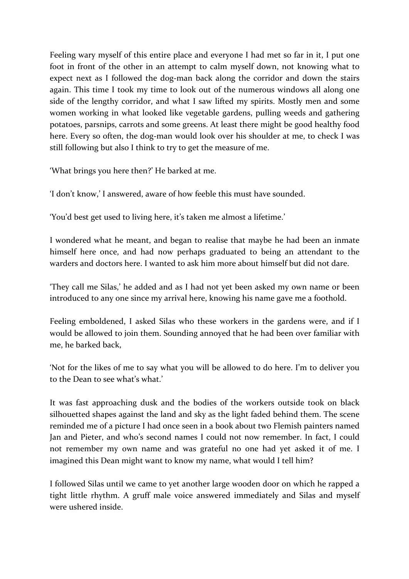Feeling wary myself of this entire place and everyone I had met so far in it, I put one foot in front of the other in an attempt to calm myself down, not knowing what to expect next as I followed the dog-man back along the corridor and down the stairs again. This time I took my time to look out of the numerous windows all along one side of the lengthy corridor, and what I saw lifted my spirits. Mostly men and some women working in what looked like vegetable gardens, pulling weeds and gathering potatoes, parsnips, carrots and some greens. At least there might be good healthy food here. Every so often, the dog-man would look over his shoulder at me, to check I was still following but also I think to try to get the measure of me.

'What brings you here then?' He barked at me.

'I don't know,' I answered, aware of how feeble this must have sounded.

'You'd best get used to living here, it's taken me almost a lifetime.'

I wondered what he meant, and began to realise that maybe he had been an inmate himself here once, and had now perhaps graduated to being an attendant to the warders and doctors here. I wanted to ask him more about himself but did not dare.

'They call me Silas,' he added and as I had not yet been asked my own name or been introduced to any one since my arrival here, knowing his name gave me a foothold.

Feeling emboldened, I asked Silas who these workers in the gardens were, and if I would be allowed to join them. Sounding annoyed that he had been over familiar with me, he barked back,

'Not for the likes of me to say what you will be allowed to do here. I'm to deliver you to the Dean to see what's what.'

It was fast approaching dusk and the bodies of the workers outside took on black silhouetted shapes against the land and sky as the light faded behind them. The scene reminded me of a picture I had once seen in a book about two Flemish painters named Jan and Pieter, and who's second names I could not now remember. In fact, I could not remember my own name and was grateful no one had yet asked it of me. I imagined this Dean might want to know my name, what would I tell him?

I followed Silas until we came to yet another large wooden door on which he rapped a tight little rhythm. A gruff male voice answered immediately and Silas and myself were ushered inside